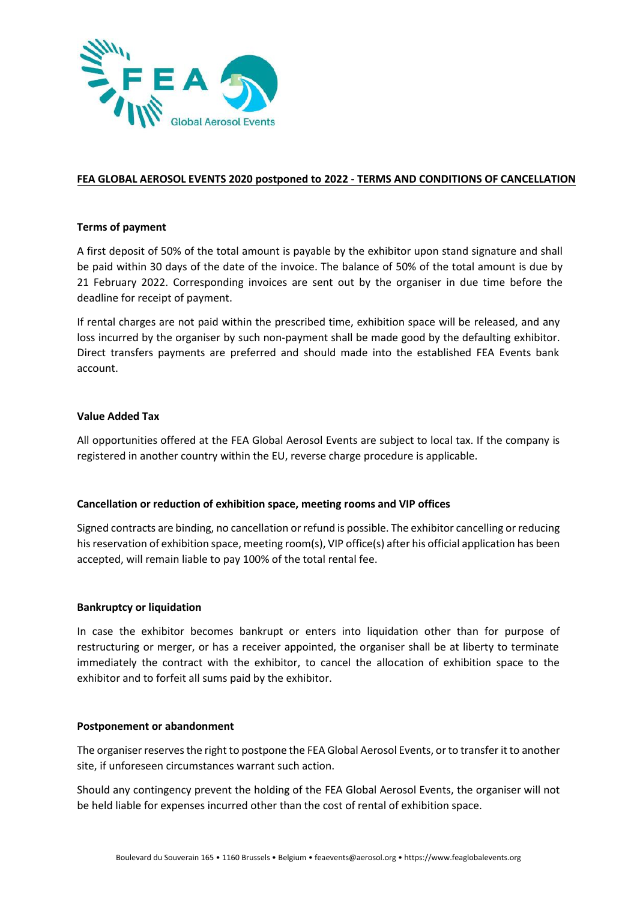

# **FEA GLOBAL AEROSOL EVENTS 2020 postponed to 2022 - TERMS AND CONDITIONS OF CANCELLATION**

## **Terms of payment**

A first deposit of 50% of the total amount is payable by the exhibitor upon stand signature and shall be paid within 30 days of the date of the invoice. The balance of 50% of the total amount is due by 21 February 2022. Corresponding invoices are sent out by the organiser in due time before the deadline for receipt of payment.

If rental charges are not paid within the prescribed time, exhibition space will be released, and any loss incurred by the organiser by such non-payment shall be made good by the defaulting exhibitor. Direct transfers payments are preferred and should made into the established FEA Events bank account.

#### **Value Added Tax**

All opportunities offered at the FEA Global Aerosol Events are subject to local tax. If the company is registered in another country within the EU, reverse charge procedure is applicable.

## **Cancellation or reduction of exhibition space, meeting rooms and VIP offices**

Signed contracts are binding, no cancellation or refund is possible. The exhibitor cancelling or reducing his reservation of exhibition space, meeting room(s), VIP office(s) after his official application has been accepted, will remain liable to pay 100% of the total rental fee.

## **Bankruptcy or liquidation**

In case the exhibitor becomes bankrupt or enters into liquidation other than for purpose of restructuring or merger, or has a receiver appointed, the organiser shall be at liberty to terminate immediately the contract with the exhibitor, to cancel the allocation of exhibition space to the exhibitor and to forfeit all sums paid by the exhibitor.

#### **Postponement or abandonment**

The organiser reserves the right to postpone the FEA Global Aerosol Events, or to transfer it to another site, if unforeseen circumstances warrant such action.

Should any contingency prevent the holding of the FEA Global Aerosol Events, the organiser will not be held liable for expenses incurred other than the cost of rental of exhibition space.